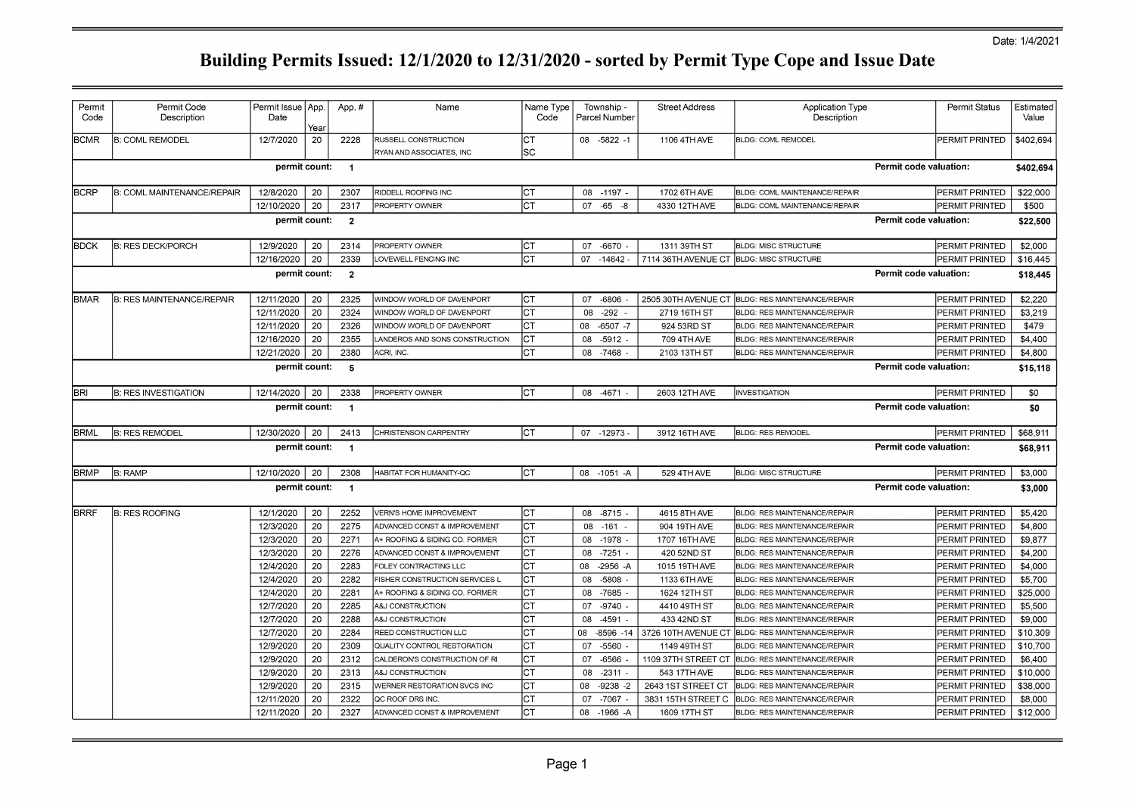| Permit<br>Code | Permit Code<br>Description        | Permit Issue   App.<br>Date | Year | App.#          | Name                           | Name Type<br>Code |    | Township -<br>Parcel Number | <b>Street Address</b> | Application Type<br>Description      |                        | <b>Permit Status</b>  | Estimated<br>Value |
|----------------|-----------------------------------|-----------------------------|------|----------------|--------------------------------|-------------------|----|-----------------------------|-----------------------|--------------------------------------|------------------------|-----------------------|--------------------|
| <b>BCMR</b>    | <b>B: COML REMODEL</b>            | 12/7/2020                   | 20   | 2228           | RUSSELL CONSTRUCTION           | IСТ               |    | 08 -5822 -1                 | 1106 4TH AVE          | <b>BLDG: COML REMODEL</b>            |                        | PERMIT PRINTED        | \$402,694          |
|                |                                   |                             |      |                | RYAN AND ASSOCIATES, INC       | <b>SC</b>         |    |                             |                       |                                      |                        |                       |                    |
|                |                                   | permit count:               |      | $\overline{1}$ |                                |                   |    |                             |                       |                                      | Permit code valuation: |                       | \$402,694          |
| <b>BCRP</b>    | <b>B: COML MAINTENANCE/REPAIR</b> | 12/8/2020                   | 20   | 2307           | RIDDELL ROOFING INC            | Iст               |    | 08 -1197 -                  | 1702 6TH AVE          | <b>BLDG: COML MAINTENANCE/REPAIR</b> |                        | <b>PERMIT PRINTED</b> | \$22,000           |
|                |                                   | 12/10/2020                  | 20   | 2317           | PROPERTY OWNER                 | CT                |    | $07 - 65 - 8$               | 4330 12TH AVE         | <b>BLDG: COML MAINTENANCE/REPAIR</b> |                        | PERMIT PRINTED        | \$500              |
|                |                                   | permit count:               |      | $\overline{2}$ |                                |                   |    |                             |                       |                                      | Permit code valuation: |                       | \$22,500           |
| <b>BDCK</b>    | B: RES DECK/PORCH                 | 12/9/2020                   | 20   | 2314           | <b>PROPERTY OWNER</b>          | Iст               |    | 07 -6670 -                  | 1311 39TH ST          | <b>BLDG: MISC STRUCTURE</b>          |                        | PERMIT PRINTED        | \$2,000            |
|                |                                   | 12/16/2020                  | 20   | 2339           | LOVEWELL FENCING INC           | СT                |    | $07 - 14642$                | 7114 36TH AVENUE CT   | <b>BLDG: MISC STRUCTURE</b>          |                        | PERMIT PRINTED        | \$16,445           |
|                |                                   | permit count:               |      | $\overline{2}$ |                                |                   |    |                             |                       |                                      | Permit code valuation: |                       | \$18,445           |
| <b>BMAR</b>    | <b>B: RES MAINTENANCE/REPAIR</b>  | 12/11/2020                  | 20   | 2325           | WINDOW WORLD OF DAVENPORT      | СT                | 07 | $-6806$                     | 2505 30TH AVENUE CT   | <b>BLDG: RES MAINTENANCE/REPAIR</b>  |                        | PERMIT PRINTED        | \$2,220            |
|                |                                   | 12/11/2020                  | 20   | 2324           | WINDOW WORLD OF DAVENPORT      | СT                | 08 | $-292$                      | 2719 16TH ST          | <b>BLDG: RES MAINTENANCE/REPAIR</b>  |                        | PERMIT PRINTED        | \$3,219            |
|                |                                   | 12/11/2020                  | 20   | 2326           | WINDOW WORLD OF DAVENPORT      | СT                |    | 08 -6507 -7                 | 924 53RD ST           | BLDG: RES MAINTENANCE/REPAIR         |                        | PERMIT PRINTED        | \$479              |
|                |                                   | 12/16/2020                  | 20   | 2355           | ANDEROS AND SONS CONSTRUCTION  | СT                | 80 | $-5912$                     | 709 4TH AVE           | <b>BLDG: RES MAINTENANCE/REPAIR</b>  |                        | PERMIT PRINTED        | \$4,400            |
|                |                                   | 12/21/2020                  | 20   | 2380           | ACRI, INC.                     | Iст               | 08 | -7468                       | 2103 13TH ST          | <b>BLDG: RES MAINTENANCE/REPAIR</b>  |                        | PERMIT PRINTED        | \$4,800            |
|                |                                   | permit count:               |      | 5              |                                |                   |    |                             |                       |                                      | Permit code valuation: |                       | \$15,118           |
| BRI            | <b>B: RES INVESTIGATION</b>       | 12/14/2020                  | 20   | 2338           | PROPERTY OWNER                 | Iст               |    | 08 -4671                    | 2603 12TH AVE         | <b>INVESTIGATION</b>                 |                        | <b>PERMIT PRINTED</b> | \$0                |
|                |                                   | permit count:               |      | $\overline{1}$ |                                |                   |    |                             |                       |                                      | Permit code valuation: |                       | \$0                |
| <b>BRML</b>    | <b>B: RES REMODEL</b>             | 12/30/2020                  | 20   | 2413           | CHRISTENSON CARPENTRY          | Iст               |    | 07 -12973                   | 3912 16TH AVE         | <b>BLDG: RES REMODEL</b>             |                        | PERMIT PRINTED        | \$68,911           |
|                |                                   | permit count:               |      | $\overline{1}$ |                                |                   |    |                             |                       |                                      | Permit code valuation: |                       | \$68,911           |
| <b>BRMP</b>    | <b>B: RAMP</b>                    | 12/10/2020                  | 20   | 2308           | HABITAT FOR HUMANITY-QC        | Iст               |    | 08 -1051 -A                 | 529 4TH AVE           | <b>BLDG: MISC STRUCTURE</b>          |                        | PERMIT PRINTED        | \$3,000            |
|                |                                   | permit count:               |      | $\overline{1}$ |                                |                   |    |                             |                       |                                      | Permit code valuation: |                       | \$3,000            |
| <b>BRRF</b>    | <b>B: RES ROOFING</b>             | 12/1/2020                   | 20   | 2252           | <b>VERN'S HOME IMPROVEMENT</b> | СT                |    | 08 -8715 -                  | 4615 8TH AVE          | BLDG: RES MAINTENANCE/REPAIR         |                        | PERMIT PRINTED        | \$5,420            |
|                |                                   | 12/3/2020                   | 20   | 2275           | ADVANCED CONST & IMPROVEMENT   | СT                | 08 | $-161$                      | 904 19TH AVE          | <b>BLDG: RES MAINTENANCE/REPAIR</b>  |                        | PERMIT PRINTED        | \$4,800            |
|                |                                   | 12/3/2020                   | 20   | 2271           | A+ ROOFING & SIDING CO. FORMER | СT                | 08 | $-1978$                     | 1707 16TH AVE         | BLDG: RES MAINTENANCE/REPAIR         |                        | PERMIT PRINTED        | \$9,877            |
|                |                                   | 12/3/2020                   | 20   | 2276           | ADVANCED CONST & IMPROVEMENT   | IСТ               |    | 08 -7251                    | 420 52ND ST           | BLDG: RES MAINTENANCE/REPAIR         |                        | PERMIT PRINTED        | \$4,200            |
|                |                                   | 12/4/2020                   | 20   | 2283           | FOLEY CONTRACTING LLC          | СT                | 08 | $-2956 - A$                 | 1015 19TH AVE         | BLDG: RES MAINTENANCE/REPAIR         |                        | PERMIT PRINTED        | \$4,000            |
|                |                                   | 12/4/2020                   | 20   | 2282           | FISHER CONSTRUCTION SERVICES L | СT                | 08 | -5808                       | 1133 6TH AVE          | BLDG: RES MAINTENANCE/REPAIR         |                        | PERMIT PRINTED        | \$5,700            |
|                |                                   | 12/4/2020                   | 20   | 2281           | A+ ROOFING & SIDING CO. FORMER | СT                | 08 | -7685                       | 1624 12TH ST          | <b>BLDG: RES MAINTENANCE/REPAIR</b>  |                        | PERMIT PRINTED        | \$25,000           |
|                |                                   | 12/7/2020                   | 20   | 2285           | A&J CONSTRUCTION               | СT                | 07 | $-9740$                     | 4410 49TH ST          | BLDG: RES MAINTENANCE/REPAIR         |                        | PERMIT PRINTED        | \$5,500            |
|                |                                   | 12/7/2020                   | 20   | 2288           | A&J CONSTRUCTION               | CT                | 08 | $-4591$                     | 433 42ND ST           | BLDG: RES MAINTENANCE/REPAIR         |                        | PERMIT PRINTED        | \$9,000            |
|                |                                   | 12/7/2020                   | 20   | 2284           | REED CONSTRUCTION LLC          | СT                | 08 | $-8596 - 14$                | 3726 10TH AVENUE CT   | <b>BLDG: RES MAINTENANCE/REPAIR</b>  |                        | PERMIT PRINTED        | \$10,309           |
|                |                                   | 12/9/2020                   | 20   | 2309           | QUALITY CONTROL RESTORATION    | СT                | 07 | $-5560$                     | 1149 49TH ST          | BLDG: RES MAINTENANCE/REPAIR         |                        | PERMIT PRINTED        | \$10,700           |
|                |                                   | 12/9/2020                   | 20   | 2312           | CALDERON'S CONSTRUCTION OF RI  | CT                | 07 | $-6566$                     | 1109 37TH STREET CT   | BLDG: RES MAINTENANCE/REPAIR         |                        | PERMIT PRINTED        | \$6,400            |
|                |                                   | 12/9/2020                   | 20   | 2313           | A&J CONSTRUCTION               | СT                | 08 | $-2311$                     | 543 17TH AVE          | <b>BLDG: RES MAINTENANCE/REPAIR</b>  |                        | PERMIT PRINTED        | \$10,000           |
|                |                                   | 12/9/2020                   | 20   | 2315           | WERNER RESTORATION SVCS INC    | СT                | 08 | $-9238 - 2$                 | 2643 1ST STREET CT    | BLDG: RES MAINTENANCE/REPAIR         |                        | PERMIT PRINTED        | \$38,000           |
|                |                                   | 12/11/2020                  | 20   | 2322           | QC ROOF DRS INC.               | СT                | 07 | $-7067$                     | 3831 15TH STREET C    | <b>BLDG: RES MAINTENANCE/REPAIR</b>  |                        | PERMIT PRINTED        | \$8,000            |
|                |                                   | 12/11/2020                  | 20   | 2327           | ADVANCED CONST & IMPROVEMENT   | CT                |    | 08 -1966 -A                 | 1609 17TH ST          | <b>BLDG: RES MAINTENANCE/REPAIR</b>  |                        | <b>PERMIT PRINTED</b> | \$12,000           |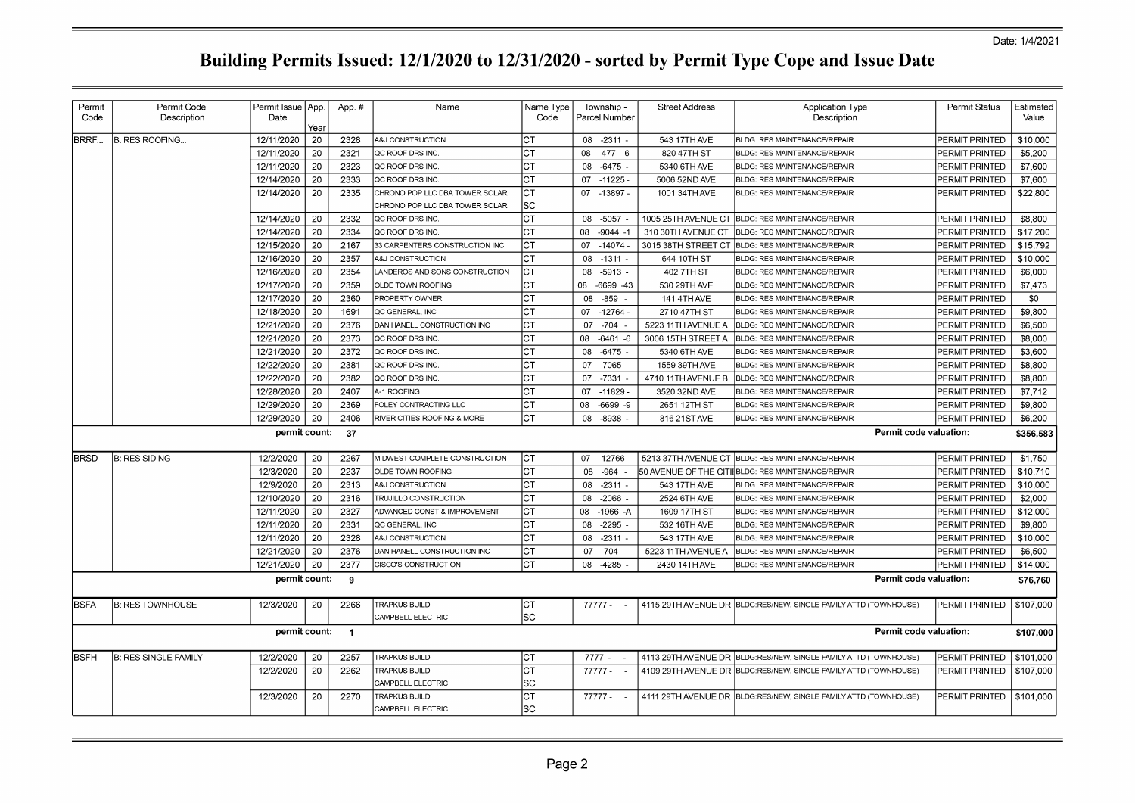| Permit       | Permit Code                 | Permit Issue   App. |            | App.#          | Name                           | Name Type |    | Township -    | <b>Street Address</b> | Application Type                                                 | Permit Status  | Estimated |
|--------------|-----------------------------|---------------------|------------|----------------|--------------------------------|-----------|----|---------------|-----------------------|------------------------------------------------------------------|----------------|-----------|
| Code         | Description                 | Date                |            |                |                                | Code      |    | Parcel Number |                       | Description                                                      |                | Value     |
| <b>BRRF</b>  | B: RES ROOFING              | 12/11/2020          | Year<br>20 | 2328           | A&J CONSTRUCTION               | СT        |    | 08 -2311 -    | 543 17TH AVE          | <b>BLDG: RES MAINTENANCE/REPAIR</b>                              | PERMIT PRINTED | \$10,000  |
|              |                             | 12/11/2020          | 20         | 2321           | <b>QC ROOF DRS INC.</b>        | CT        | 80 | $-477 - 6$    | 820 47TH ST           | BLDG: RES MAINTENANCE/REPAIR                                     | PERMIT PRINTED | \$5,200   |
|              |                             | 12/11/2020          | 20         | 2323           | QC ROOF DRS INC.               | СT        | 08 | $-6475$       | 5340 6TH AVE          | <b>BLDG: RES MAINTENANCE/REPAIR</b>                              | PERMIT PRINTED | \$7,600   |
|              |                             | 12/14/2020          | 20         | 2333           | QC ROOF DRS INC.               | CT        |    | 07 -11225     | 5006 52ND AVE         | BLDG: RES MAINTENANCE/REPAIR                                     | PERMIT PRINTED | \$7,600   |
|              |                             | 12/14/2020          | 20         | 2335           | CHRONO POP LLC DBA TOWER SOLAR | СT        |    | 07 -13897 -   | 1001 34TH AVE         | BLDG: RES MAINTENANCE/REPAIR                                     | PERMIT PRINTED | \$22,800  |
|              |                             |                     |            |                | CHRONO POP LLC DBA TOWER SOLAR | SC        |    |               |                       |                                                                  |                |           |
|              |                             | 12/14/2020          | 20         | 2332           | <b>QC ROOF DRS INC.</b>        | <b>CT</b> |    | 08 -5057      |                       | 1005 25TH AVENUE CT BLDG: RES MAINTENANCE/REPAIR                 | PERMIT PRINTED | \$8,800   |
|              |                             | 12/14/2020          | 20         | 2334           | QC ROOF DRS INC.               | CТ        |    | 08 -9044 -1   | 310 30TH AVENUE CT    | <b>BLDG: RES MAINTENANCE/REPAIR</b>                              | PERMIT PRINTED | \$17,200  |
|              |                             | 12/15/2020          | 20         | 2167           | 33 CARPENTERS CONSTRUCTION INC | <b>CT</b> | 07 | $-14074$      | 3015 38TH STREET CT   | <b>BLDG: RES MAINTENANCE/REPAIR</b>                              | PERMIT PRINTED | \$15,792  |
|              |                             | 12/16/2020          | 20         | 2357           | A&J CONSTRUCTION               | СT        | 08 | $-1311$       | 644 10TH ST           | <b>BLDG: RES MAINTENANCE/REPAIR</b>                              | PERMIT PRINTED | \$10,000  |
|              |                             | 12/16/2020          | 20         | 2354           | LANDEROS AND SONS CONSTRUCTION | CT        | 08 | -5913         | 402 7TH ST            | <b>BLDG: RES MAINTENANCE/REPAIR</b>                              | PERMIT PRINTED | \$6,000   |
|              |                             | 12/17/2020          | 20         | 2359           | OLDE TOWN ROOFING              | СT        | 08 | $-6699 - 43$  | 530 29TH AVE          | <b>BLDG: RES MAINTENANCE/REPAIR</b>                              | PERMIT PRINTED | \$7,473   |
|              |                             | 12/17/2020          | 20         | 2360           | <b>PROPERTY OWNER</b>          | СT        | 08 | $-859 -$      | 141 4TH AVE           | BLDG: RES MAINTENANCE/REPAIR                                     | PERMIT PRINTED | \$0       |
|              |                             | 12/18/2020          | 20         | 1691           | QC GENERAL, INC                | CT        |    | 07 -12764 -   | 2710 47TH ST          | BLDG: RES MAINTENANCE/REPAIR                                     | PERMIT PRINTED | \$9,800   |
|              |                             | 12/21/2020          | -20        | 2376           | DAN HANELL CONSTRUCTION INC    | СT        | 07 | $-704$        | 5223 11TH AVENUE A    | <b>BLDG: RES MAINTENANCE/REPAIR</b>                              | PERMIT PRINTED | \$6,500   |
|              |                             | 12/21/2020          | 20         | 2373           | QC ROOF DRS INC.               | СT        | 08 | $-6461 - 6$   | 3006 15TH STREET A    | <b>BLDG: RES MAINTENANCE/REPAIR</b>                              | PERMIT PRINTED | \$8,000   |
|              |                             | 12/21/2020          | 20         | 2372           | QC ROOF DRS INC.               | СT        | 08 | $-6475$       | 5340 6TH AVE          | <b>BLDG: RES MAINTENANCE/REPAIR</b>                              | PERMIT PRINTED | \$3,600   |
|              |                             | 12/22/2020          | 20         | 2381           | QC ROOF DRS INC.               | СT        |    | 07 -7065      | 1559 39TH AVE         | <b>BLDG: RES MAINTENANCE/REPAIR</b>                              | PERMIT PRINTED | \$8,800   |
|              |                             | 12/22/2020          | 20         | 2382           | QC ROOF DRS INC.               | CT        | 07 | $-7331$       | 4710 11TH AVENUE B    | <b>BLDG: RES MAINTENANCE/REPAIR</b>                              | PERMIT PRINTED | \$8,800   |
|              |                             | 12/28/2020          | 20         | 2407           | A-1 ROOFING                    | СT        |    | 07 -11829     | 3520 32ND AVE         | <b>BLDG: RES MAINTENANCE/REPAIR</b>                              | PERMIT PRINTED | \$7,712   |
|              |                             | 12/29/2020          | 20         | 2369           | FOLEY CONTRACTING LLC          | СT        | 08 | $-6699 - 9$   | 2651 12TH ST          | <b>BLDG: RES MAINTENANCE/REPAIR</b>                              | PERMIT PRINTED | \$9,800   |
|              |                             | 12/29/2020          | 20         | 2406           | RIVER CITIES ROOFING & MORE    | СT        | 08 | $-8938$       | 816 21 ST AVE         | <b>BLDG: RES MAINTENANCE/REPAIR</b>                              | PERMIT PRINTED | \$6,200   |
|              |                             | permit count:       |            | 37             |                                |           |    |               |                       | Permit code valuation:                                           |                | \$356,583 |
| <b>BRSD</b>  | B: RES SIDING               | 12/2/2020           | 20         | 2267           | MIDWEST COMPLETE CONSTRUCTION  | CT        |    | 07 -12766     | 5213 37TH AVENUE CT   | <b>BLDG: RES MAINTENANCE/REPAIR</b>                              | PERMIT PRINTED | \$1,750   |
|              |                             | 12/3/2020           | 20         | 2237           | OLDE TOWN ROOFING              | СT        | 08 | $-964$        |                       | 50 AVENUE OF THE CITI(BLDG: RES MAINTENANCE/REPAIR               | PERMIT PRINTED | \$10,710  |
|              |                             | 12/9/2020           | 20         | 2313           | A&J CONSTRUCTION               | СT        | 08 | $-2311$       | 543 17TH AVE          | BLDG: RES MAINTENANCE/REPAIR                                     | PERMIT PRINTED | \$10,000  |
|              |                             | 12/10/2020          | 20         | 2316           | TRUJILLO CONSTRUCTION          | СT        | 08 | $-2066$       | 2524 6TH AVE          | BLDG: RES MAINTENANCE/REPAIR                                     | PERMIT PRINTED | \$2,000   |
|              |                             | 12/11/2020          | 20         | 2327           | ADVANCED CONST & IMPROVEMENT   | СT        | 08 | $-1966 - A$   | 1609 17TH ST          | <b>BLDG: RES MAINTENANCE/REPAIR</b>                              | PERMIT PRINTED | \$12,000  |
|              |                             | 12/11/2020          | 20         | 2331           | QC GENERAL, INC                | СT        | 08 | $-2295$       | 532 16TH AVE          | <b>BLDG: RES MAINTENANCE/REPAIR</b>                              | PERMIT PRINTED | \$9,800   |
|              |                             | 12/11/2020          | 20         | 2328           | A&J CONSTRUCTION               | СT        | 08 | $-2311$       | 543 17TH AVE          | <b>BLDG: RES MAINTENANCE/REPAIR</b>                              | PERMIT PRINTED | \$10,000  |
|              |                             | 12/21/2020          | 20         | 2376           | DAN HANELL CONSTRUCTION INC    | СT        | 07 | $-704$        | 5223 11TH AVENUE A    | BLDG: RES MAINTENANCE/REPAIR                                     | PERMIT PRINTED | \$6,500   |
|              |                             | 12/21/2020          | 20         | 2377           | CISCO'S CONSTRUCTION           | СT        |    | 08 -4285      | 2430 14TH AVE         | BLDG: RES MAINTENANCE/REPAIR                                     | PERMIT PRINTED | \$14,000  |
|              |                             | permit count:       |            | 9              |                                |           |    |               |                       | Permit code valuation:                                           |                | \$76,760  |
| <b>IBSFA</b> | <b>B: RES TOWNHOUSE</b>     | 12/3/2020           | 20         | 2266           | <b>TRAPKUS BUILD</b>           | Iст       |    | 77777 - -     |                       | 4115 29TH AVENUE DR BLDG:RES/NEW, SINGLE FAMILY ATTD (TOWNHOUSE) | PERMIT PRINTED | \$107,000 |
|              |                             |                     |            |                | CAMPBELL ELECTRIC              | SC        |    |               |                       |                                                                  |                |           |
|              |                             | permit count:       |            | $\overline{1}$ |                                |           |    |               |                       | Permit code valuation:                                           |                | \$107,000 |
| <b>IBSFH</b> | <b>B: RES SINGLE FAMILY</b> | 12/2/2020           | 20         | 2257           | <b>TRAPKUS BUILD</b>           | СT        |    | $7777 - -$    |                       | 4113 29TH AVENUE DR BLDG:RES/NEW, SINGLE FAMILY ATTD (TOWNHOUSE) | PERMIT PRINTED | \$101,000 |
|              |                             | 12/2/2020           | 20         | 2262           | TRAPKUS BUILD                  | lст       |    | $77777 -$     | 4109 29TH AVENUE DR   | BLDG:RES/NEW, SINGLE FAMILY ATTD (TOWNHOUSE)                     | PERMIT PRINTED | \$107,000 |
|              |                             |                     |            |                | CAMPBELL ELECTRIC              | SC        |    |               |                       |                                                                  |                |           |
|              |                             | 12/3/2020           | 20         | 2270           | <b>TRAPKUS BUILD</b>           | <b>CT</b> |    | 77777 - -     |                       | 4111 29TH AVENUE DR BLDG:RES/NEW, SINGLE FAMILY ATTD (TOWNHOUSE) | PERMIT PRINTED | \$101,000 |
|              |                             |                     |            |                | <b>CAMPBELL ELECTRIC</b>       | SC        |    |               |                       |                                                                  |                |           |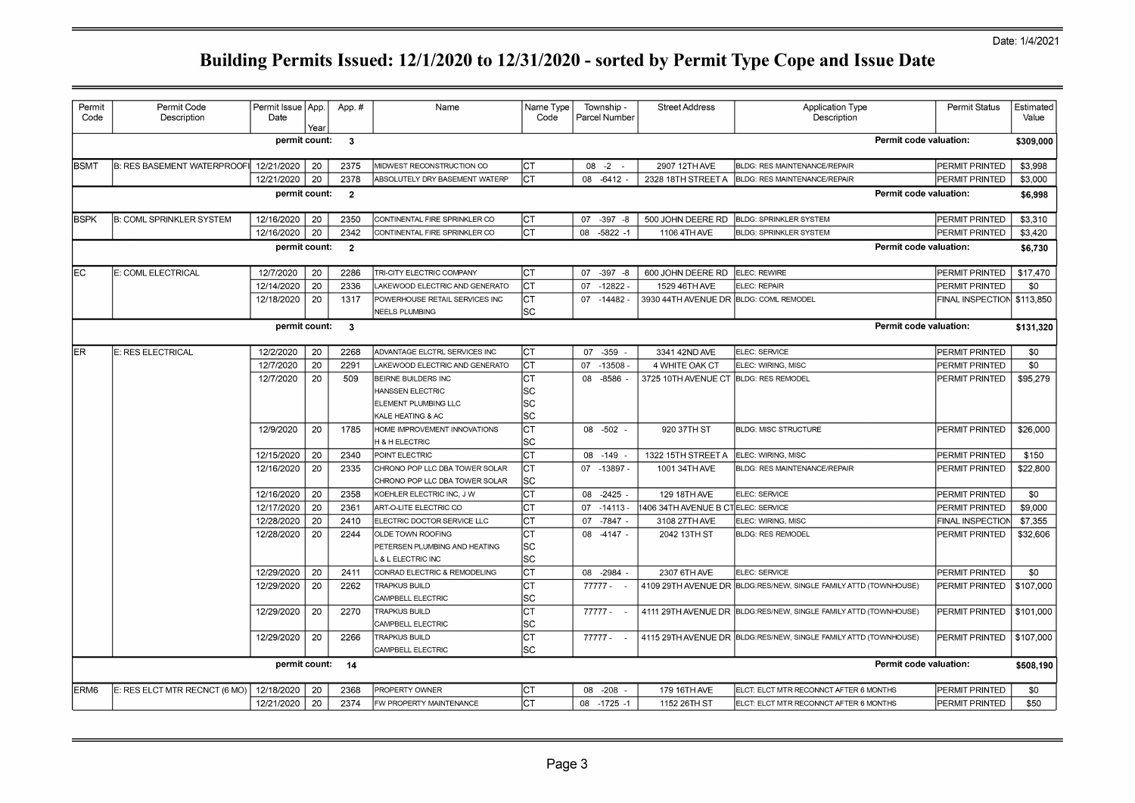| Permit<br>Code   | Permit Code<br>Description        | Permit Issue   App.<br>Date | Year | App.#                   | Name                                                             | Name Type<br>Code | Township -<br>Parcel Number | <b>Street Address</b>                  | <b>Application Type</b><br>Description                           | Permit Status              | Estimated<br>Value |
|------------------|-----------------------------------|-----------------------------|------|-------------------------|------------------------------------------------------------------|-------------------|-----------------------------|----------------------------------------|------------------------------------------------------------------|----------------------------|--------------------|
|                  |                                   | permit count:               |      | $\overline{\mathbf{3}}$ |                                                                  |                   |                             |                                        | Permit code valuation:                                           |                            | \$309,000          |
| <b>BSMT</b>      | <b>B: RES BASEMENT WATERPROOF</b> | 12/21/2020                  | 20   | 2375                    | MIDWEST RECONSTRUCTION CO                                        | CT                | 08<br>$-2$                  | 2907 12TH AVE                          | <b>BLDG: RES MAINTENANCE/REPAIR</b>                              | PERMIT PRINTED             | \$3,998            |
|                  |                                   | 12/21/2020                  | 20   | 2378                    | ABSOLUTELY DRY BASEMENT WATERP                                   | lст               | 08 -6412                    | 2328 18TH STREET A                     | <b>BLDG: RES MAINTENANCE/REPAIR</b>                              | PERMIT PRINTED             | \$3,000            |
|                  |                                   | permit count:               |      | $\overline{2}$          |                                                                  |                   |                             |                                        | Permit code valuation:                                           |                            | \$6,998            |
| <b>BSPK</b>      | <b>B: COML SPRINKLER SYSTEM</b>   | 12/16/2020                  | 20   | 2350                    | CONTINENTAL FIRE SPRINKLER CO                                    | CT                | 07 - 397 - 8                | 500 JOHN DEERE RD                      | <b>BLDG: SPRINKLER SYSTEM</b>                                    | PERMIT PRINTED             | \$3,310            |
|                  |                                   | 12/16/2020                  | 20   | 2342                    | CONTINENTAL FIRE SPRINKLER CO                                    | <b>CT</b>         | 08 -5822 -1                 | 1106 4TH AVE                           | <b>BLDG: SPRINKLER SYSTEM</b>                                    | PERMIT PRINTED             | \$3,420            |
|                  |                                   | permit count:               |      | $\overline{2}$          |                                                                  |                   |                             |                                        | Permit code valuation:                                           |                            | \$6,730            |
| EC               | E: COML ELECTRICAL                | 12/7/2020                   | 20   | 2286                    | TRI-CITY ELECTRIC COMPANY                                        | Iст               | 07 - 397 - 8                | 600 JOHN DEERE RD                      | ELEC: REWIRE                                                     | PERMIT PRINTED             | \$17,470           |
|                  |                                   | 12/14/2020                  | 20   | 2336                    | AKEWOOD ELECTRIC AND GENERATO                                    | Iст               | 07 -12822 -                 | 1529 46TH AVE                          | ELEC: REPAIR                                                     | PERMIT PRINTED             | \$0                |
|                  |                                   | 12/18/2020                  | 20   | 1317                    | POWERHOUSE RETAIL SERVICES INC                                   | Iст               | 07 -14482 -                 | 3930 44TH AVENUE DR BLDG: COML REMODEL |                                                                  | FINAL INSPECTION \$113,850 |                    |
|                  |                                   |                             |      |                         | <b>NEELS PLUMBING</b>                                            | SC                |                             |                                        |                                                                  |                            |                    |
|                  |                                   | permit count:               |      | $\cdot$ 3               |                                                                  |                   |                             |                                        | Permit code valuation:                                           |                            | \$131,320          |
| ler              | E: RES ELECTRICAL                 | 12/2/2020                   | 20   | 2268                    | ADVANTAGE ELCTRL SERVICES INC                                    | Iст               | 07 - 359 -                  | 3341 42ND AVE                          | ELEC: SERVICE                                                    | PERMIT PRINTED             | \$0                |
|                  |                                   | 12/7/2020                   | 20   | 2291                    | LAKEWOOD ELECTRIC AND GENERATO                                   | CT                | 07 -13508                   | 4 WHITE OAK CT                         | ELEC: WIRING, MISC                                               | PERMIT PRINTED             | \$0                |
|                  |                                   | 12/7/2020                   | 20   | 509                     | <b>BEIRNE BUILDERS INC</b>                                       | CT                | $-8586$<br>08               | 3725 10TH AVENUE CT                    | <b>BLDG: RES REMODEL</b>                                         | PERMIT PRINTED             | \$95,279           |
|                  |                                   |                             |      |                         | HANSSEN ELECTRIC                                                 | SC                |                             |                                        |                                                                  |                            |                    |
|                  |                                   |                             |      |                         | ELEMENT PLUMBING LLC                                             | lsc               |                             |                                        |                                                                  |                            |                    |
|                  |                                   |                             |      |                         | KALE HEATING & AC                                                | SC                |                             |                                        |                                                                  |                            |                    |
|                  |                                   | 12/9/2020                   | 20   | 1785                    | HOME IMPROVEMENT INNOVATIONS                                     | <b>CT</b>         | 08 -502                     | 920 37TH ST                            | <b>BLDG: MISC STRUCTURE</b>                                      | PERMIT PRINTED             | \$26,000           |
|                  |                                   |                             |      |                         | <b>H &amp; H ELECTRIC</b>                                        | SC                |                             |                                        |                                                                  |                            |                    |
|                  |                                   | 12/15/2020                  | 20   | 2340                    | POINT ELECTRIC                                                   | CT                | 08 - 149                    | 1322 15TH STREET A                     | ELEC: WIRING, MISC                                               | PERMIT PRINTED             | \$150              |
|                  |                                   | 12/16/2020                  | 20   | 2335                    | CHRONO POP LLC DBA TOWER SOLAR<br>CHRONO POP LLC DBA TOWER SOLAR | <b>CT</b><br>SC   | 07 -13897 -                 | 1001 34TH AVE                          | BLDG: RES MAINTENANCE/REPAIR                                     | PERMIT PRINTED             | \$22,800           |
|                  |                                   | 12/16/2020                  | 20   | 2358                    | KOEHLER ELECTRIC INC, J W                                        | СT                | 08 -2425                    | 129 18TH AVE                           | ELEC: SERVICE                                                    | PERMIT PRINTED             | \$0                |
|                  |                                   | 12/17/2020                  | 20   | 2361                    | ART-O-LITE ELECTRIC CO                                           | СT                | $07 - 14113$                | 1406 34TH AVENUE B CTELEC: SERVICE     |                                                                  | PERMIT PRINTED             | \$9,000            |
|                  |                                   | 12/28/2020                  | 20   | 2410                    | ELECTRIC DOCTOR SERVICE LLC                                      | CТ                | 07 - 7847 -                 | 3108 27TH AVE                          | ELEC: WIRING, MISC                                               | FINAL INSPECTION           | \$7,355            |
|                  |                                   | 12/28/2020                  | 20   | 2244                    | OLDE TOWN ROOFING                                                | СT                | 08 -4147 -                  | 2042 13TH ST                           | <b>BLDG: RES REMODEL</b>                                         | PERMIT PRINTED             | \$32,606           |
|                  |                                   |                             |      |                         | PETERSEN PLUMBING AND HEATING                                    | SC                |                             |                                        |                                                                  |                            |                    |
|                  |                                   |                             |      |                         | & L ELECTRIC INC                                                 | SC                |                             |                                        |                                                                  |                            |                    |
|                  |                                   | 12/29/2020                  | 20   | 2411                    | CONRAD ELECTRIC & REMODELING                                     | <b>CT</b>         | 08 -2984 -                  | 2307 6TH AVE                           | ELEC: SERVICE                                                    | PERMIT PRINTED             | \$0                |
|                  |                                   | 12/29/2020                  | 20   | 2262                    | TRAPKUS BUILD                                                    | lст               | $77777 -$                   |                                        | 4109 29TH AVENUE DR BLDG:RES/NEW, SINGLE FAMILY ATTD (TOWNHOUSE) | PERMIT PRINTED             | \$107,000          |
|                  |                                   |                             |      |                         | CAMPBELL ELECTRIC                                                | SC                |                             |                                        |                                                                  |                            |                    |
|                  |                                   | 12/29/2020                  | 20   | 2270                    | <b>TRAPKUS BUILD</b>                                             | <b>CT</b>         | 77777 -                     |                                        | 4111 29TH AVENUE DR BLDG:RES/NEW, SINGLE FAMILY ATTD (TOWNHOUSE) | PERMIT PRINTED             | \$101,000          |
|                  |                                   |                             |      |                         | CAMPBELL ELECTRIC                                                | SC                |                             |                                        |                                                                  |                            |                    |
|                  |                                   | 12/29/2020                  | 20   | 2266                    | <b>TRAPKUS BUILD</b>                                             | <b>CT</b><br>SC   | 77777 - -                   |                                        | 4115 29TH AVENUE DR BLDG:RES/NEW, SINGLE FAMILY ATTD (TOWNHOUSE) | PERMIT PRINTED             | \$107,000          |
|                  |                                   | permit count:               |      | 14                      | CAMPBELL ELECTRIC                                                |                   |                             |                                        | Permit code valuation:                                           |                            | \$508,190          |
|                  |                                   |                             |      |                         |                                                                  |                   |                             |                                        |                                                                  |                            |                    |
| ERM <sub>6</sub> | E: RES ELCT MTR RECNCT (6 MO)     | 12/18/2020                  | 20   | 2368                    | PROPERTY OWNER                                                   | СT                | 08 -208                     | 179 16TH AVE                           | ELCT: ELCT MTR RECONNCT AFTER 6 MONTHS                           | PERMIT PRINTED             | \$0                |
|                  |                                   | 12/21/2020                  | 20   | 2374                    | FW PROPERTY MAINTENANCE                                          | CT                | 08 - 1725 - 1               | 1152 26TH ST                           | ELCT: ELCT MTR RECONNCT AFTER 6 MONTHS                           | PERMIT PRINTED             | \$50               |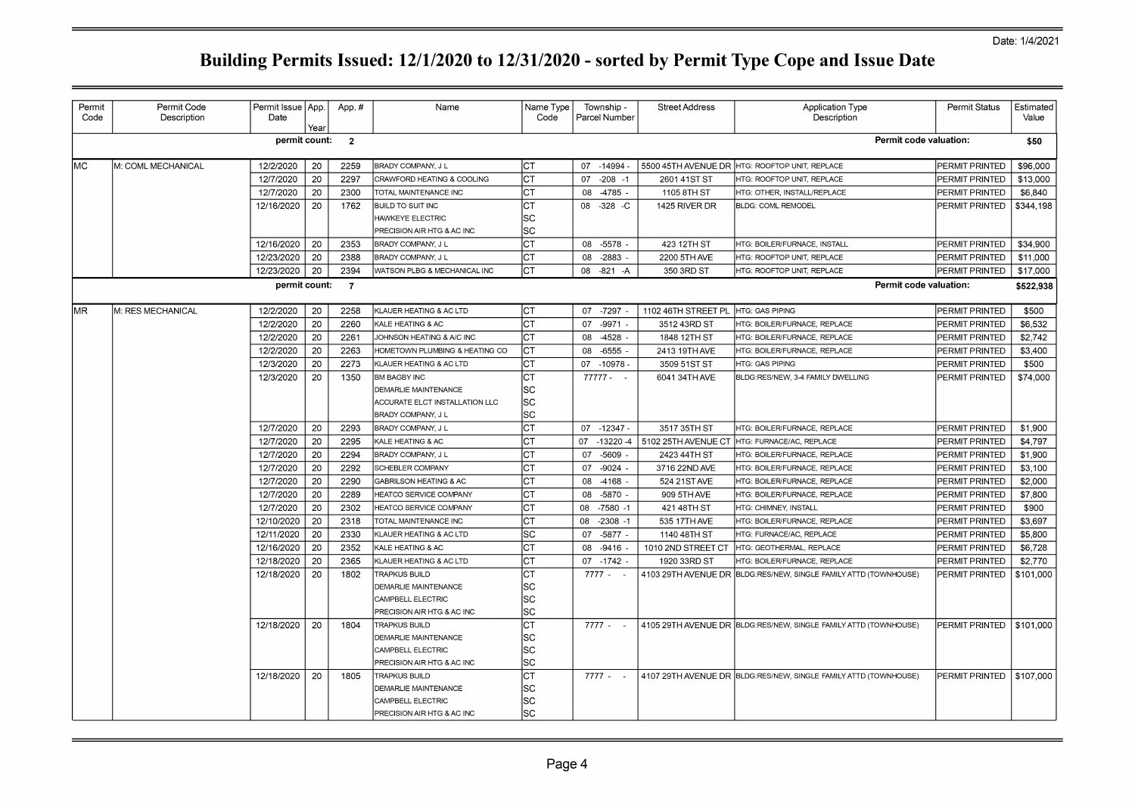| Permit<br>Code | Permit Code<br>Description | Permit Issue   App.<br>Date | Year | App.#          | Name                           | Name Type<br>Code | Township -<br>Parcel Number | <b>Street Address</b> | <b>Application Type</b><br>Description                            | Permit Status         | Estimated<br>Value |
|----------------|----------------------------|-----------------------------|------|----------------|--------------------------------|-------------------|-----------------------------|-----------------------|-------------------------------------------------------------------|-----------------------|--------------------|
|                |                            | permit count:               |      | $\overline{2}$ |                                |                   |                             |                       | Permit code valuation:                                            |                       | \$50               |
| lмc            | M: COML MECHANICAL         | 12/2/2020                   | 20   | 2259           | BRADY COMPANY, J L             | Iст               | 07 -14994                   | 5500 45TH AVENUE DR   | HTG: ROOFTOP UNIT, REPLACE                                        | PERMIT PRINTED        | \$96,000           |
|                |                            | 12/7/2020                   | 20   | 2297           | CRAWFORD HEATING & COOLING     | Іст               | $-208 - 1$<br>07            | 2601 41ST ST          | HTG: ROOFTOP UNIT, REPLACE                                        | <b>PERMIT PRINTED</b> | \$13,000           |
|                |                            | 12/7/2020                   | 20   | 2300           | TOTAL MAINTENANCE INC          | CТ                | 08 -4785 -                  | 1105 8TH ST           | HTG: OTHER, INSTALL/REPLACE                                       | PERMIT PRINTED        | \$6,840            |
|                |                            | 12/16/2020                  | 20   | 1762           | <b>BUILD TO SUIT INC</b>       | СT                | 08 - 328 - C                | 1425 RIVER DR         | <b>BLDG: COML REMODEL</b>                                         | PERMIT PRINTED        | \$344,198          |
|                |                            |                             |      |                | <b>HAWKEYE ELECTRIC</b>        | SC                |                             |                       |                                                                   |                       |                    |
|                |                            |                             |      |                | PRECISION AIR HTG & AC INC     | <b>SC</b>         |                             |                       |                                                                   |                       |                    |
|                |                            | 12/16/2020                  | 20   | 2353           | BRADY COMPANY, J L             | СT                | $-5578$<br>08               | 423 12TH ST           | HTG: BOILER/FURNACE, INSTALL                                      | PERMIT PRINTED        | \$34,900           |
|                |                            | 12/23/2020                  | 20   | 2388           | BRADY COMPANY, J L             | СT                | 08<br>$-2883$               | 2200 5TH AVE          | HTG: ROOFTOP UNIT, REPLACE                                        | PERMIT PRINTED        | \$11,000           |
|                |                            | 12/23/2020                  | 20   | 2394           | WATSON PLBG & MECHANICAL INC   | СT                | 08 - 821 - A                | 350 3RD ST            | HTG: ROOFTOP UNIT, REPLACE                                        | PERMIT PRINTED        | \$17,000           |
|                |                            |                             |      |                |                                |                   |                             |                       |                                                                   |                       |                    |
|                |                            | permit count:               |      | $\overline{7}$ |                                |                   |                             |                       | Permit code valuation:                                            |                       | \$522,938          |
| lmr            | M: RES MECHANICAL          | 12/2/2020                   | 20   | 2258           | KLAUER HEATING & AC LTD        | Iст               | 07 -7297                    | 1102 46TH STREET PL   | <b>HTG: GAS PIPING</b>                                            | <b>PERMIT PRINTED</b> | \$500              |
|                |                            | 12/2/2020                   | 20   | 2260           | KALE HEATING & AC              | СT                | 07<br>$-9971$               | 3512 43RD ST          | HTG: BOILER/FURNACE, REPLACE                                      | <b>PERMIT PRINTED</b> | \$6,532            |
|                |                            | 12/2/2020                   | 20   | 2261           | JOHNSON HEATING & A/C INC      | СT                | 08<br>$-4528$               | 1848 12TH ST          | HTG: BOILER/FURNACE, REPLACE                                      | PERMIT PRINTED        | \$2,742            |
|                |                            | 12/2/2020                   | 20   | 2263           | HOMETOWN PLUMBING & HEATING CO | Iст               | 08 -6555                    | 2413 19TH AVE         | HTG: BOILER/FURNACE, REPLACE                                      | PERMIT PRINTED        | \$3,400            |
|                |                            | 12/3/2020                   | 20   | 2273           | KLAUER HEATING & AC LTD        | СT                | 07 -10978 -                 | 3509 51ST ST          | <b>HTG: GAS PIPING</b>                                            | PERMIT PRINTED        | \$500              |
|                |                            | 12/3/2020                   | 20   | 1350           | <b>BM BAGBY INC</b>            | СT                | 77777 - -                   | 6041 34TH AVE         | BLDG:RES/NEW, 3-4 FAMILY DWELLING                                 | PERMIT PRINTED        | \$74,000           |
|                |                            |                             |      |                | <b>DEMARLIE MAINTENANCE</b>    | SC                |                             |                       |                                                                   |                       |                    |
|                |                            |                             |      |                | ACCURATE ELCT INSTALLATION LLC | SC                |                             |                       |                                                                   |                       |                    |
|                |                            |                             |      |                | BRADY COMPANY, J L             | <b>SC</b>         |                             |                       |                                                                   |                       |                    |
|                |                            | 12/7/2020                   | 20   | 2293           | BRADY COMPANY, J L             | СT                | 07 -12347 -                 | 3517 35TH ST          | HTG: BOILER/FURNACE, REPLACE                                      | <b>PERMIT PRINTED</b> | \$1,900            |
|                |                            | 12/7/2020                   | 20   | 2295           | KALE HEATING & AC              | СT                | 07 -13220 -4                | 5102 25TH AVENUE CT   | HTG: FURNACE/AC, REPLACE                                          | PERMIT PRINTED        | \$4,797            |
|                |                            | 12/7/2020                   | 20   | 2294           | BRADY COMPANY, J L             | СT                | $-5609$<br>07               | 2423 44TH ST          | HTG: BOILER/FURNACE, REPLACE                                      | PERMIT PRINTED        | \$1,900            |
|                |                            | 12/7/2020                   | 20   | 2292           | SCHEBLER COMPANY               | IСТ               | 07<br>$-9024$               | 3716 22ND AVE         | HTG: BOILER/FURNACE, REPLACE                                      | PERMIT PRINTED        | \$3,100            |
|                |                            | 12/7/2020                   | 20   | 2290           | GABRILSON HEATING & AC         | СT                | $-4168 -$<br>08             | 524 21ST AVE          | HTG: BOILER/FURNACE, REPLACE                                      | PERMIT PRINTED        | \$2,000            |
|                |                            | 12/7/2020                   | 20   | 2289           | HEATCO SERVICE COMPANY         | СT                | $-5870$<br>08               | 909 5TH AVE           | HTG: BOILER/FURNACE, REPLACE                                      | PERMIT PRINTED        | \$7,800            |
|                |                            | 12/7/2020                   | 20   | 2302           | HEATCO SERVICE COMPANY         | СT                | 08 -7580 -1                 | 421 48TH ST           | HTG: CHIMNEY, INSTALL                                             | PERMIT PRINTED        | \$900              |
|                |                            | 12/10/2020                  | 20   | 2318           | TOTAL MAINTENANCE INC          | СT                | 08<br>$-2308 - 1$           | 535 17TH AVE          | HTG: BOILER/FURNACE, REPLACE                                      | PERMIT PRINTED        | \$3,697            |
|                |                            | 12/11/2020                  | 20   | 2330           | KLAUER HEATING & AC LTD        | SC                | 07 - 5877 -                 | 1140 48TH ST          | HTG: FURNACE/AC, REPLACE                                          | PERMIT PRINTED        | \$5,800            |
|                |                            | 12/16/2020                  | 20   | 2352           | KALE HEATING & AC              | <b>CT</b>         | $-9416$ .<br>08             | 1010 2ND STREET CT    | HTG: GEOTHERMAL, REPLACE                                          | PERMIT PRINTED        | \$6,728            |
|                |                            | 12/18/2020                  | 20   | 2365           | KLAUER HEATING & AC LTD        | IСТ               | 07 - 1742                   | 1920 33RD ST          | HTG: BOILER/FURNACE, REPLACE                                      | <b>PERMIT PRINTED</b> | \$2,770            |
|                |                            | 12/18/2020                  | 20   | 1802           | TRAPKUS BUILD                  | СT                | $7777 - -$                  |                       | 4103 29TH AVENUE DR BLDG: RES/NEW, SINGLE FAMILY ATTD (TOWNHOUSE) | PERMIT PRINTED        | \$101,000          |
|                |                            |                             |      |                | DEMARLIE MAINTENANCE           | SC                |                             |                       |                                                                   |                       |                    |
|                |                            |                             |      |                | CAMPBELL ELECTRIC              | SC                |                             |                       |                                                                   |                       |                    |
|                |                            |                             |      |                | PRECISION AIR HTG & AC INC     | SC                |                             |                       |                                                                   |                       |                    |
|                |                            | 12/18/2020                  | 20   | 1804           | <b>TRAPKUS BUILD</b>           | СT                | $7777 -$                    |                       | 4105 29TH AVENUE DR BLDG:RES/NEW, SINGLE FAMILY ATTD (TOWNHOUSE)  | PERMIT PRINTED        | \$101.000          |
|                |                            |                             |      |                | <b>DEMARLIE MAINTENANCE</b>    | <b>SC</b>         |                             |                       |                                                                   |                       |                    |
|                |                            |                             |      |                | CAMPBELL ELECTRIC              | SC                |                             |                       |                                                                   |                       |                    |
|                |                            |                             |      |                | PRECISION AIR HTG & AC INC     | SC                |                             |                       |                                                                   |                       |                    |
|                |                            | 12/18/2020                  | 20   | 1805           | <b>TRAPKUS BUILD</b>           | СT                | $7777 -$                    |                       | 4107 29TH AVENUE DR BLDG: RES/NEW, SINGLE FAMILY ATTD (TOWNHOUSE) | PERMIT PRINTED        | \$107,000          |
|                |                            |                             |      |                | DEMARLIE MAINTENANCE           | SC                |                             |                       |                                                                   |                       |                    |
|                |                            |                             |      |                | CAMPBELL ELECTRIC              | SC                |                             |                       |                                                                   |                       |                    |
|                |                            |                             |      |                | PRECISION AIR HTG & AC INC     | SC                |                             |                       |                                                                   |                       |                    |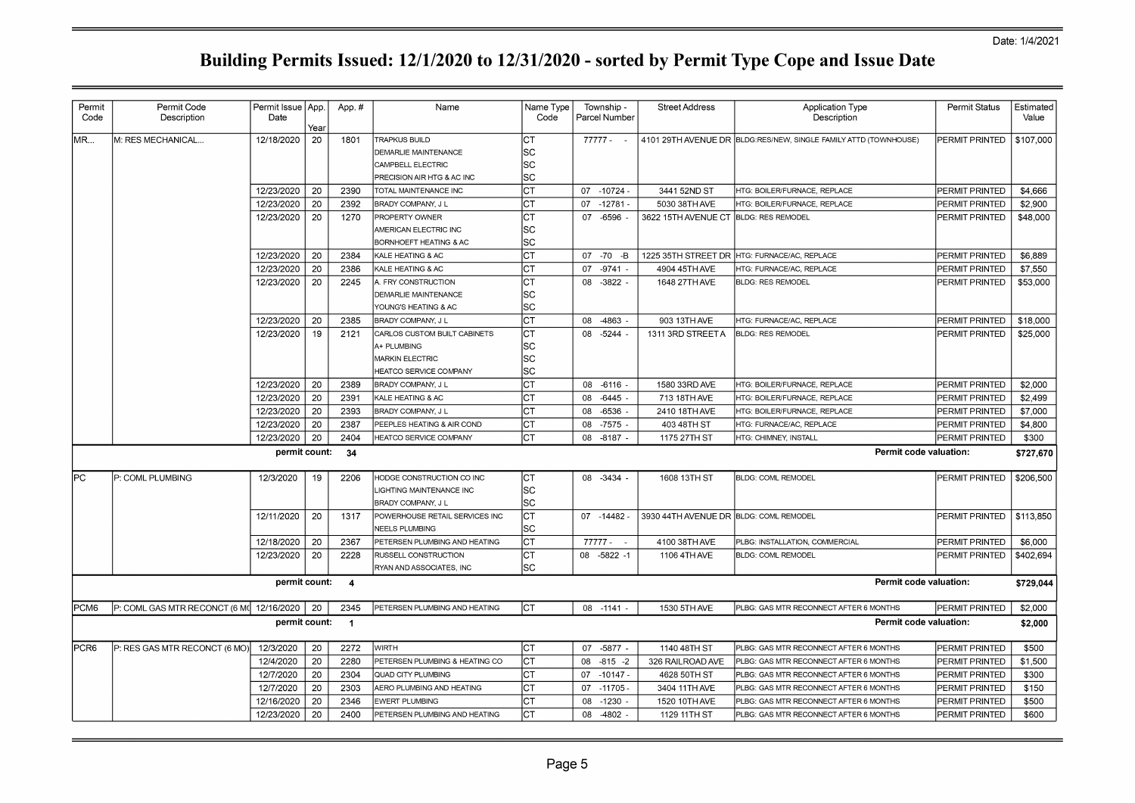| Permit<br>Code   | Permit Code<br>Description               | Permit Issue   App.<br>Date | Year | App.#          | Name                                                       | Name Type<br>Code |    | Township -<br>Parcel Number | <b>Street Address</b>                  | Application Type<br>Description                                  | Permit Status         | Estimated<br>Value |
|------------------|------------------------------------------|-----------------------------|------|----------------|------------------------------------------------------------|-------------------|----|-----------------------------|----------------------------------------|------------------------------------------------------------------|-----------------------|--------------------|
| MR               | M: RES MECHANICAL                        | 12/18/2020                  | 20   | 1801           | <b>TRAPKUS BUILD</b>                                       | СT                |    | $77777 - -$                 |                                        | 4101 29TH AVENUE DR BLDG:RES/NEW, SINGLE FAMILY ATTD (TOWNHOUSE) | PERMIT PRINTED        | \$107,000          |
|                  |                                          |                             |      |                | <b>DEMARLIE MAINTENANCE</b>                                | SC                |    |                             |                                        |                                                                  |                       |                    |
|                  |                                          |                             |      |                | CAMPBELL ELECTRIC                                          | SC                |    |                             |                                        |                                                                  |                       |                    |
|                  |                                          |                             |      |                | PRECISION AIR HTG & AC INC                                 | SC                |    |                             |                                        |                                                                  |                       |                    |
|                  |                                          | 12/23/2020                  | 20   | 2390           | TOTAL MAINTENANCE INC                                      | <b>CT</b>         |    | 07 -10724 -                 | 3441 52ND ST                           | HTG: BOILER/FURNACE, REPLACE                                     | PERMIT PRINTED        | \$4,666            |
|                  |                                          | 12/23/2020                  | 20   | 2392           | BRADY COMPANY, J L                                         | СT                |    | 07 -12781 -                 | 5030 38TH AVE                          | HTG: BOILER/FURNACE, REPLACE                                     | PERMIT PRINTED        | \$2,900            |
|                  |                                          | 12/23/2020                  | 20   | 1270           | PROPERTY OWNER                                             | СT                |    | 07 -6596                    | 3622 15TH AVENUE CT BLDG: RES REMODEL  |                                                                  | <b>PERMIT PRINTED</b> | \$48,000           |
|                  |                                          |                             |      |                | AMERICAN ELECTRIC INC<br><b>BORNHOEFT HEATING &amp; AC</b> | SC<br>SC          |    |                             |                                        |                                                                  |                       |                    |
|                  |                                          | 12/23/2020                  | -20  | 2384           | KALE HEATING & AC                                          | CT                |    | 07 -70 -B                   | 1225 35TH STREET DR                    | HTG: FURNACE/AC, REPLACE                                         | <b>PERMIT PRINTED</b> | \$6,889            |
|                  |                                          | 12/23/2020                  | 20   | 2386           | KALE HEATING & AC                                          | CT                | 07 | $-9741$ .                   | 4904 45TH AVE                          | HTG: FURNACE/AC, REPLACE                                         | PERMIT PRINTED        | \$7,550            |
|                  |                                          | 12/23/2020                  | 20   | 2245           | A. FRY CONSTRUCTION                                        | СT                |    | 08 - 3822 -                 | 1648 27TH AVE                          | <b>BLDG: RES REMODEL</b>                                         | PERMIT PRINTED        | \$53,000           |
|                  |                                          |                             |      |                | <b>DEMARLIE MAINTENANCE</b>                                | SC                |    |                             |                                        |                                                                  |                       |                    |
|                  |                                          |                             |      |                | YOUNG'S HEATING & AC                                       | SC                |    |                             |                                        |                                                                  |                       |                    |
|                  |                                          | 12/23/2020                  | 20   | 2385           | <b>BRADY COMPANY, J L</b>                                  | <b>CT</b>         | 08 | -4863                       | 903 13TH AVE                           | HTG: FURNACE/AC, REPLACE                                         | PERMIT PRINTED        | \$18,000           |
|                  |                                          | 12/23/2020                  | 19   | 2121           | CARLOS CUSTOM BUILT CABINETS                               | <b>CT</b>         | 08 | $-5244$                     | 1311 3RD STREET A                      | <b>BLDG: RES REMODEL</b>                                         | <b>PERMIT PRINTED</b> | \$25,000           |
|                  |                                          |                             |      |                | A+ PLUMBING                                                | SC                |    |                             |                                        |                                                                  |                       |                    |
|                  |                                          |                             |      |                | MARKIN ELECTRIC                                            | lsc               |    |                             |                                        |                                                                  |                       |                    |
|                  |                                          |                             |      |                | HEATCO SERVICE COMPANY                                     | SC                |    |                             |                                        |                                                                  |                       |                    |
|                  |                                          | 12/23/2020                  | 20   | 2389           | BRADY COMPANY, J L                                         | СT                |    | 08 -6116                    | 1580 33RD AVE                          | HTG: BOILER/FURNACE, REPLACE                                     | <b>PERMIT PRINTED</b> | \$2,000            |
|                  |                                          | 12/23/2020                  | 20   | 2391           | KALE HEATING & AC                                          | CT                | 08 | $-6445$ -                   | 713 18TH AVE                           | HTG: BOILER/FURNACE, REPLACE                                     | PERMIT PRINTED        | \$2,499            |
|                  |                                          | 12/23/2020                  | 20   | 2393           | <b>BRADY COMPANY, J L</b>                                  | CT                | 08 | $-6536$ .                   | 2410 18TH AVE                          | HTG: BOILER/FURNACE, REPLACE                                     | <b>PERMIT PRINTED</b> | \$7,000            |
|                  |                                          | 12/23/2020                  | 20   | 2387           | PEEPLES HEATING & AIR COND                                 | CT                |    | 08 -7575 -                  | 403 48TH ST                            | HTG: FURNACE/AC, REPLACE                                         | <b>PERMIT PRINTED</b> | \$4,800            |
|                  |                                          | 12/23/2020                  | 20   | 2404           | HEATCO SERVICE COMPANY                                     | CT                |    | 08 -8187 -                  | 1175 27TH ST                           | HTG: CHIMNEY, INSTALL                                            | PERMIT PRINTED        | \$300              |
|                  |                                          | permit count:               |      | 34             |                                                            |                   |    |                             |                                        | Permit code valuation:                                           |                       | \$727,670          |
| lPC.             | P: COML PLUMBING                         | 12/3/2020                   | 19   | 2206           | HODGE CONSTRUCTION CO INC                                  | <b>CT</b>         |    | 08 - 3434 -                 | 1608 13TH ST                           | <b>BLDG: COML REMODEL</b>                                        | PERMIT PRINTED        | \$206,500          |
|                  |                                          |                             |      |                | LIGHTING MAINTENANCE INC                                   | SC                |    |                             |                                        |                                                                  |                       |                    |
|                  |                                          |                             |      |                | <b>BRADY COMPANY, J L</b>                                  | SC                |    |                             |                                        |                                                                  |                       |                    |
|                  |                                          | 12/11/2020                  | 20   | 1317           | POWERHOUSE RETAIL SERVICES INC                             | CT                |    | 07 -14482 -                 | 3930 44TH AVENUE DR BLDG: COML REMODEL |                                                                  | <b>PERMIT PRINTED</b> | \$113,850          |
|                  |                                          |                             |      |                | <b>NEELS PLUMBING</b>                                      | SC                |    |                             |                                        |                                                                  |                       |                    |
|                  |                                          | 12/18/2020                  | -20  | 2367           | PETERSEN PLUMBING AND HEATING                              | СT                |    | $77777 -$                   | 4100 38TH AVE                          | PLBG: INSTALLATION, COMMERCIAL                                   | <b>PERMIT PRINTED</b> | \$6,000            |
|                  |                                          | 12/23/2020                  | 20   | 2228           | RUSSELL CONSTRUCTION                                       | CT                |    | 08 -5822 -1                 | 1106 4TH AVE                           | <b>BLDG: COML REMODEL</b>                                        | <b>PERMIT PRINTED</b> | \$402.694          |
|                  |                                          |                             |      |                | RYAN AND ASSOCIATES, INC                                   | SC                |    |                             |                                        |                                                                  |                       |                    |
|                  |                                          | permit count:               |      | $\overline{4}$ |                                                            |                   |    |                             |                                        | Permit code valuation:                                           |                       | \$729,044          |
| PCM <sub>6</sub> | P: COML GAS MTR RECONCT (6 M( 12/16/2020 |                             | 20   | 2345           | PETERSEN PLUMBING AND HEATING                              | lст               |    | 08 -1141                    | 1530 5TH AVE                           | PLBG: GAS MTR RECONNECT AFTER 6 MONTHS                           | <b>PERMIT PRINTED</b> | \$2,000            |
|                  |                                          | permit count:               |      | $\overline{1}$ |                                                            |                   |    |                             |                                        | Permit code valuation:                                           |                       | \$2,000            |
| PCR <sub>6</sub> | P: RES GAS MTR RECONCT (6 MO)            | 12/3/2020                   | 20   | 2272           | <b>WIRTH</b>                                               | CT                |    | 07 -5877 -                  | 1140 48TH ST                           | PLBG: GAS MTR RECONNECT AFTER 6 MONTHS                           | <b>PERMIT PRINTED</b> | \$500              |
|                  |                                          | 12/4/2020                   | 20   | 2280           | PETERSEN PLUMBING & HEATING CO                             | CT                | 08 | $-815 - 2$                  | 326 RAILROAD AVE                       | PLBG: GAS MTR RECONNECT AFTER 6 MONTHS                           | <b>PERMIT PRINTED</b> | \$1,500            |
|                  |                                          | 12/7/2020                   | 20   | 2304           | QUAD CITY PLUMBING                                         | CT                |    | $07 - 10147 -$              | 4628 50TH ST                           | PLBG: GAS MTR RECONNECT AFTER 6 MONTHS                           | <b>PERMIT PRINTED</b> | \$300              |
|                  |                                          | 12/7/2020                   | 20   | 2303           | AERO PLUMBING AND HEATING                                  | СT                |    | $07 - 11705$                | 3404 11TH AVE                          | PLBG: GAS MTR RECONNECT AFTER 6 MONTHS                           | <b>PERMIT PRINTED</b> | \$150              |
|                  |                                          | 12/16/2020                  | 20   | 2346           | <b>EWERT PLUMBING</b>                                      |                   | 08 | $-1230$                     | 1520 10TH AVE                          | PLBG: GAS MTR RECONNECT AFTER 6 MONTHS                           | <b>PERMIT PRINTED</b> | \$500              |
|                  |                                          | 12/23/2020                  | 20   | 2400           | PETERSEN PLUMBING AND HEATING                              | СT                |    | 08 -4802                    | 1129 11TH ST                           | PLBG: GAS MTR RECONNECT AFTER 6 MONTHS                           | PERMIT PRINTED        | \$600              |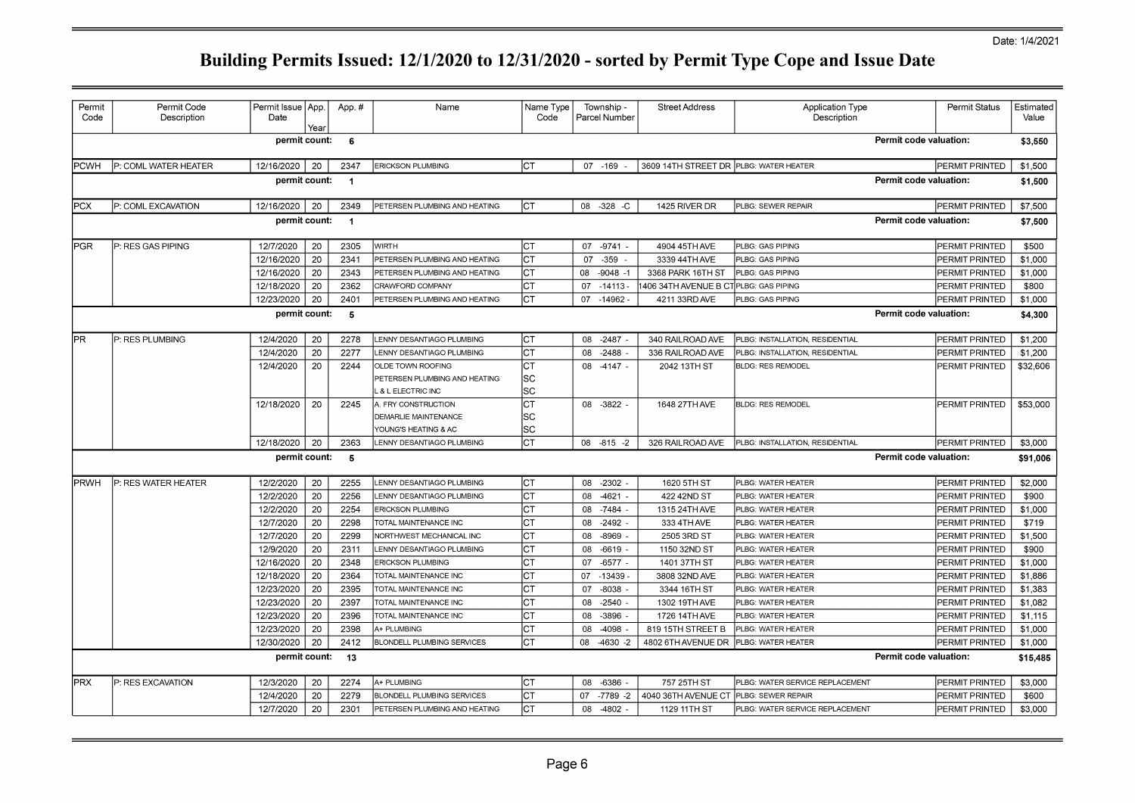| Permit<br>Code                  | Permit Code<br>Description | Permit Issue   App.<br>Date | Year     | App.#        | Name                                             | Name Type<br>Code |    | Township -<br>Parcel Number | <b>Street Address</b>                  | <b>Application Type</b><br>Description                | <b>Permit Status</b>             | Estimated<br>Value |
|---------------------------------|----------------------------|-----------------------------|----------|--------------|--------------------------------------------------|-------------------|----|-----------------------------|----------------------------------------|-------------------------------------------------------|----------------------------------|--------------------|
|                                 |                            | permit count:               |          | 6            |                                                  |                   |    |                             |                                        |                                                       | Permit code valuation:           | \$3,550            |
| <b>PCWH</b>                     | P: COML WATER HEATER       | 12/16/2020                  | 20       | 2347         | <b>ERICKSON PLUMBING</b>                         | Іст               |    | 07 - 169                    | 3609 14TH STREET DR PLBG: WATER HEATER |                                                       | PERMIT PRINTED                   | \$1,500            |
| permit count:<br>$\overline{1}$ |                            |                             |          |              |                                                  |                   |    |                             |                                        | Permit code valuation:                                | \$1,500                          |                    |
| IPCX                            | P: COML EXCAVATION         | 12/16/2020                  | 20       | 2349         | PETERSEN PLUMBING AND HEATING                    | Iст               |    | 08 -328 -C                  | 1425 RIVER DR                          | PLBG: SEWER REPAIR                                    | PERMIT PRINTED                   | \$7,500            |
| permit count:<br>$\overline{1}$ |                            |                             |          |              |                                                  |                   |    |                             | Permit code valuation:                 | \$7,500                                               |                                  |                    |
| <b>PGR</b>                      | P: RES GAS PIPING          | 12/7/2020                   | 20       | 2305         | <b>WIRTH</b>                                     | Іст               |    | 07 - 9741 -                 | 4904 45TH AVE                          | PLBG: GAS PIPING                                      | PERMIT PRINTED                   | \$500              |
|                                 |                            | 12/16/2020                  | 20       | 2341         | PETERSEN PLUMBING AND HEATING                    | <b>CT</b>         | 07 | $-359$                      | 3339 44TH AVE                          | PLBG: GAS PIPING                                      | PERMIT PRINTED                   | \$1,000            |
|                                 |                            | 12/16/2020                  | 20       | 2343         | PETERSEN PLUMBING AND HEATING                    | СT                | 08 | $-9048 - 1$                 | 3368 PARK 16TH ST                      | PLBG: GAS PIPING                                      | PERMIT PRINTED                   | \$1,000            |
|                                 |                            | 12/18/2020                  | 20       | 2362         | CRAWFORD COMPANY                                 | СT                | 07 | $-14113 -$                  | 406 34TH AVENUE B CT PLBG: GAS PIPING  |                                                       | PERMIT PRINTED                   | \$800              |
|                                 |                            | 12/23/2020                  | 20       | 2401         | PETERSEN PLUMBING AND HEATING                    | СT                |    | 07 -14962 -                 | 4211 33RD AVE                          | PLBG: GAS PIPING                                      | PERMIT PRINTED                   | \$1,000            |
|                                 |                            | permit count:               |          | 5            |                                                  |                   |    |                             |                                        |                                                       | Permit code valuation:           | \$4,300            |
| IPR.                            | P: RES PLUMBING            | 12/4/2020                   | 20       | 2278         | LENNY DESANTIAGO PLUMBING                        | СT                |    | 08 -2487                    | 340 RAILROAD AVE                       | PLBG: INSTALLATION, RESIDENTIAL                       | PERMIT PRINTED                   | \$1,200            |
|                                 |                            | 12/4/2020                   | 20       | 2277         | LENNY DESANTIAGO PLUMBING                        | CТ                | 08 | $-2488$                     | 336 RAILROAD AVE                       | PLBG: INSTALLATION, RESIDENTIAL                       | PERMIT PRINTED                   | \$1,200            |
|                                 |                            | 12/4/2020                   | 20       | 2244         | OLDE TOWN ROOFING                                | <b>CT</b>         |    | 08 -4147 -                  | 2042 13TH ST                           | <b>BLDG: RES REMODEL</b>                              | PERMIT PRINTED                   | \$32,606           |
|                                 |                            |                             |          |              | PETERSEN PLUMBING AND HEATING                    | SC                |    |                             |                                        |                                                       |                                  |                    |
|                                 |                            |                             |          |              | . & L ELECTRIC INC                               | SC                |    |                             |                                        |                                                       |                                  |                    |
|                                 |                            | 12/18/2020                  | 20       | 2245         | A. FRY CONSTRUCTION                              | СT                |    | 08 - 3822 -                 | 1648 27TH AVE                          | <b>BLDG: RES REMODEL</b>                              | PERMIT PRINTED                   | \$53,000           |
|                                 |                            |                             |          |              | DEMARLIE MAINTENANCE                             | SC                |    |                             |                                        |                                                       |                                  |                    |
|                                 |                            |                             |          |              | YOUNG'S HEATING & AC                             | SC                |    |                             |                                        |                                                       |                                  |                    |
|                                 |                            | 12/18/2020                  | 20       | 2363         | LENNY DESANTIAGO PLUMBING                        | CT                |    | 08 -815 -2                  | 326 RAILROAD AVE                       | PLBG: INSTALLATION, RESIDENTIAL                       | PERMIT PRINTED                   | \$3,000            |
|                                 |                            | permit count:               |          | - 5          |                                                  |                   |    |                             |                                        |                                                       | Permit code valuation:           | \$91,006           |
| <b>PRWH</b>                     | P: RES WATER HEATER        | 12/2/2020                   | 20       | 2255         | LENNY DESANTIAGO PLUMBING                        | CT                |    | 08 -2302                    | 1620 5TH ST                            | PLBG: WATER HEATER                                    | PERMIT PRINTED                   | \$2,000            |
|                                 |                            | 12/2/2020                   | 20       | 2256         | LENNY DESANTIAGO PLUMBING                        | СT                | 08 | $-4621$                     | 422 42ND ST                            | PLBG: WATER HEATER                                    | PERMIT PRINTED                   | \$900              |
|                                 |                            | 12/2/2020                   | 20       | 2254         | <b>ERICKSON PLUMBING</b>                         | СT                | 08 | $-7484$                     | 1315 24TH AVE                          | PLBG: WATER HEATER                                    | PERMIT PRINTED                   | \$1,000            |
|                                 |                            | 12/7/2020                   | 20       | 2298         | TOTAL MAINTENANCE INC                            | CT                | 08 | $-2492$ .                   | 333 4TH AVE                            | PLBG: WATER HEATER                                    | PERMIT PRINTED                   | \$719              |
|                                 |                            | 12/7/2020                   | 20       | 2299         | NORTHWEST MECHANICAL INC                         | СT                | 08 | $-8969$                     | 2505 3RD ST                            | PLBG: WATER HEATER                                    | PERMIT PRINTED                   | \$1,500            |
|                                 |                            |                             | 20       | 2311         | LENNY DESANTIAGO PLUMBING                        | CT                | 08 | $-6619$                     | 1150 32ND ST                           | PLBG: WATER HEATER                                    | PERMIT PRINTED                   | \$900              |
|                                 |                            | 12/9/2020                   |          |              |                                                  |                   |    |                             |                                        |                                                       |                                  |                    |
|                                 |                            | 12/16/2020                  | 20       | 2348         | <b>ERICKSON PLUMBING</b>                         | CТ                | 07 | $-6577$                     | 1401 37TH ST                           | PLBG: WATER HEATER                                    | PERMIT PRINTED                   | \$1,000            |
|                                 |                            | 12/18/2020                  | 20       | 2364         | TOTAL MAINTENANCE INC                            | СT                | 07 | $-13439$                    | 3808 32ND AVE                          | PLBG: WATER HEATER                                    | PERMIT PRINTED                   | \$1,886            |
|                                 |                            | 12/23/2020                  | 20       | 2395         | TOTAL MAINTENANCE INC                            | СT                | 07 | -8038                       | 3344 16TH ST                           | PLBG: WATER HEATER                                    | PERMIT PRINTED                   | \$1,383            |
|                                 |                            | 12/23/2020                  | 20       | 2397         | TOTAL MAINTENANCE INC                            | СT                | 08 | $-2540$ -                   | 1302 19TH AVE                          | PLBG: WATER HEATER                                    | PERMIT PRINTED                   | \$1,082            |
|                                 |                            | 12/23/2020                  | 20       | 2396         | TOTAL MAINTENANCE INC                            | CT                | 08 | $-3896$                     | 1726 14TH AVE                          | PLBG: WATER HEATER                                    | PERMIT PRINTED                   | \$1,115            |
|                                 |                            | 12/23/2020                  | 20       | 2398         | A+ PLUMBING                                      | СT                | 08 | $-4098$                     | 819 15TH STREET B                      | PLBG: WATER HEATER                                    | PERMIT PRINTED                   | \$1,000            |
|                                 |                            | 12/30/2020                  | 20       | 2412         | <b>BLONDELL PLUMBING SERVICES</b>                | CT                | 08 | $-4630 -2$                  | 4802 6TH AVENUE DR                     | PLBG: WATER HEATER                                    | PERMIT PRINTED                   | \$1,000            |
|                                 |                            | permit count:               |          | 13           |                                                  |                   |    |                             |                                        |                                                       | Permit code valuation:           | \$15,485           |
|                                 |                            |                             |          |              |                                                  |                   |    |                             |                                        |                                                       |                                  |                    |
| <b>PRX</b>                      | P: RES EXCAVATION          | 12/3/2020<br>12/4/2020      | 20<br>20 | 2274<br>2279 | A+ PLUMBING<br><b>BLONDELL PLUMBING SERVICES</b> | CT<br>СT          | 07 | 08 -6386 -<br>$-7789 - 2$   | 757 25TH ST<br>4040 36TH AVENUE CT     | PLBG: WATER SERVICE REPLACEMENT<br>PLBG: SEWER REPAIR | PERMIT PRINTED<br>PERMIT PRINTED | \$3,000<br>\$600   |